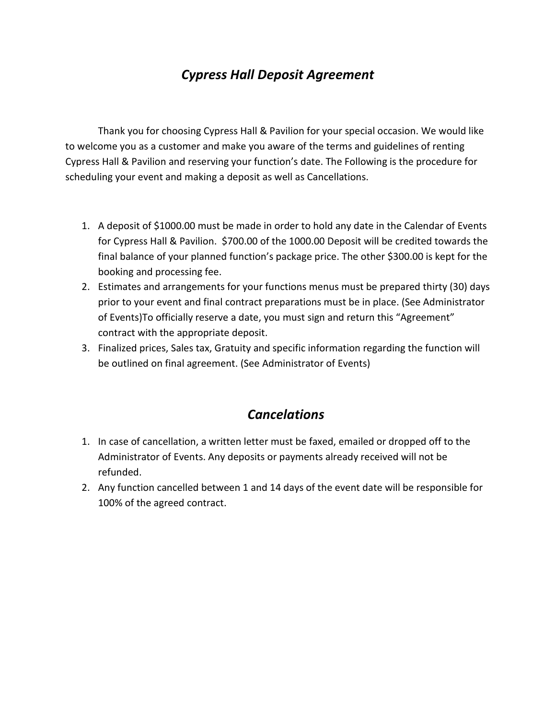## *Cypress Hall Deposit Agreement*

Thank you for choosing Cypress Hall & Pavilion for your special occasion. We would like to welcome you as a customer and make you aware of the terms and guidelines of renting Cypress Hall & Pavilion and reserving your function's date. The Following is the procedure for scheduling your event and making a deposit as well as Cancellations.

- 1. A deposit of \$1000.00 must be made in order to hold any date in the Calendar of Events for Cypress Hall & Pavilion. \$700.00 of the 1000.00 Deposit will be credited towards the final balance of your planned function's package price. The other \$300.00 is kept for the booking and processing fee.
- 2. Estimates and arrangements for your functions menus must be prepared thirty (30) days prior to your event and final contract preparations must be in place. (See Administrator of Events)To officially reserve a date, you must sign and return this "Agreement" contract with the appropriate deposit.
- 3. Finalized prices, Sales tax, Gratuity and specific information regarding the function will be outlined on final agreement. (See Administrator of Events)

## *Cancelations*

- 1. In case of cancellation, a written letter must be faxed, emailed or dropped off to the Administrator of Events. Any deposits or payments already received will not be refunded.
- 2. Any function cancelled between 1 and 14 days of the event date will be responsible for 100% of the agreed contract.